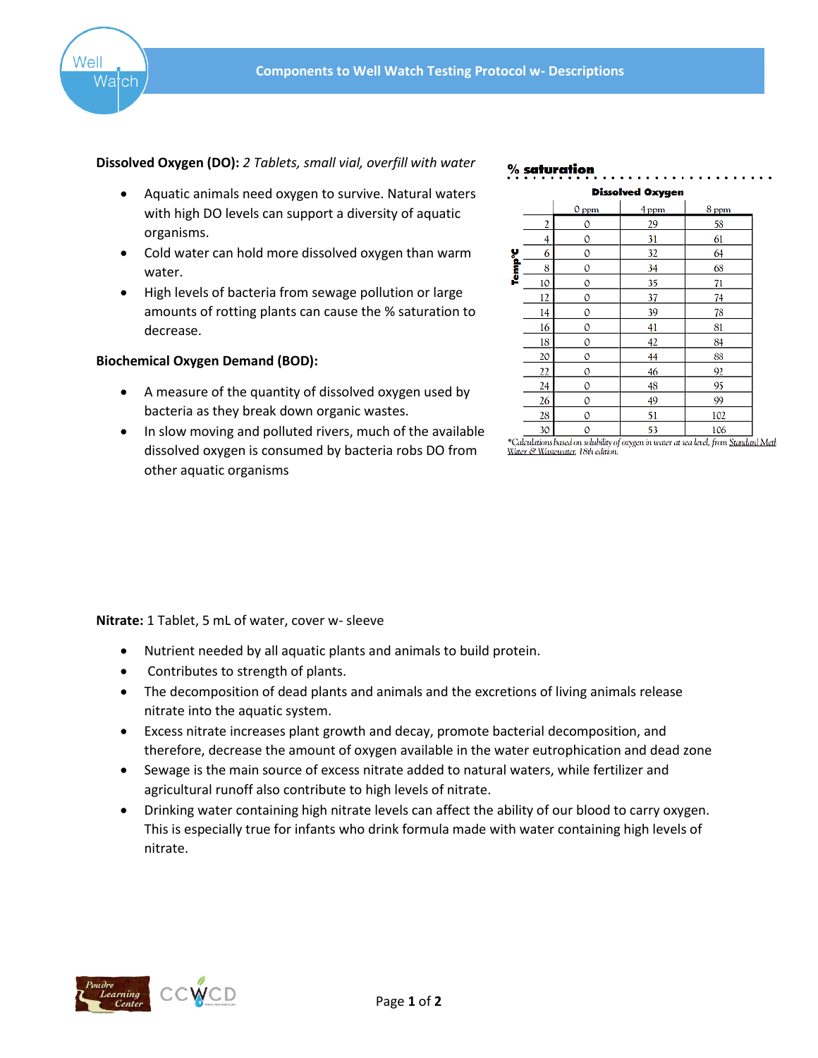

## **Dissolved Oxygen (DO):** *2 Tablets, small vial, overfill with water*

- Aquatic animals need oxygen to survive. Natural waters with high DO levels can support a diversity of aquatic organisms.
- Cold water can hold more dissolved oxygen than warm water.
- High levels of bacteria from sewage pollution or large amounts of rotting plants can cause the % saturation to decrease.

# **Biochemical Oxygen Demand (BOD):**

- A measure of the quantity of dissolved oxygen used by bacteria as they break down organic wastes.
- In slow moving and polluted rivers, much of the available dissolved oxygen is consumed by bacteria robs DO from other aquatic organisms

#### % saturation



<sup>\*</sup>Calculations based on solubility of oxygen in water at sea level, from <u>Standard Meth</u> Water & Wastewater, 18th edition

**Nitrate:** 1 Tablet, 5 mL of water, cover w- sleeve

- Nutrient needed by all aquatic plants and animals to build protein.
- Contributes to strength of plants.
- The decomposition of dead plants and animals and the excretions of living animals release nitrate into the aquatic system.
- Excess nitrate increases plant growth and decay, promote bacterial decomposition, and therefore, decrease the amount of oxygen available in the water eutrophication and dead zone
- Sewage is the main source of excess nitrate added to natural waters, while fertilizer and agricultural runoff also contribute to high levels of nitrate.
- Drinking water containing high nitrate levels can affect the ability of our blood to carry oxygen. This is especially true for infants who drink formula made with water containing high levels of nitrate.